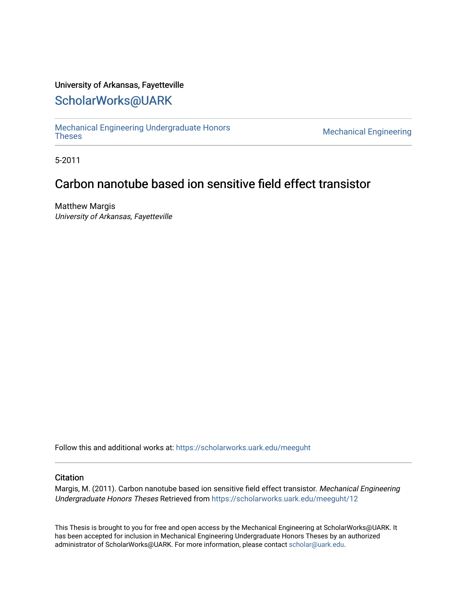### University of Arkansas, Fayetteville

# [ScholarWorks@UARK](https://scholarworks.uark.edu/)

[Mechanical Engineering Undergraduate Honors](https://scholarworks.uark.edu/meeguht)

**Mechanical Engineering** 

5-2011

# Carbon nanotube based ion sensitive field effect transistor

Matthew Margis University of Arkansas, Fayetteville

Follow this and additional works at: [https://scholarworks.uark.edu/meeguht](https://scholarworks.uark.edu/meeguht?utm_source=scholarworks.uark.edu%2Fmeeguht%2F12&utm_medium=PDF&utm_campaign=PDFCoverPages) 

#### **Citation**

Margis, M. (2011). Carbon nanotube based ion sensitive field effect transistor. Mechanical Engineering Undergraduate Honors Theses Retrieved from [https://scholarworks.uark.edu/meeguht/12](https://scholarworks.uark.edu/meeguht/12?utm_source=scholarworks.uark.edu%2Fmeeguht%2F12&utm_medium=PDF&utm_campaign=PDFCoverPages) 

This Thesis is brought to you for free and open access by the Mechanical Engineering at ScholarWorks@UARK. It has been accepted for inclusion in Mechanical Engineering Undergraduate Honors Theses by an authorized administrator of ScholarWorks@UARK. For more information, please contact [scholar@uark.edu](mailto:scholar@uark.edu).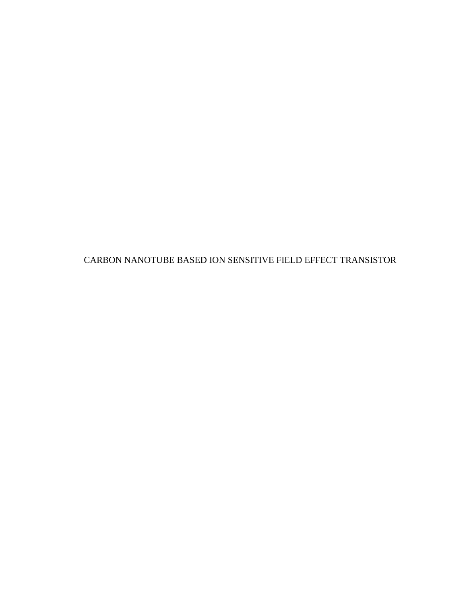CARBON NANOTUBE BASED ION SENSITIVE FIELD EFFECT TRANSISTOR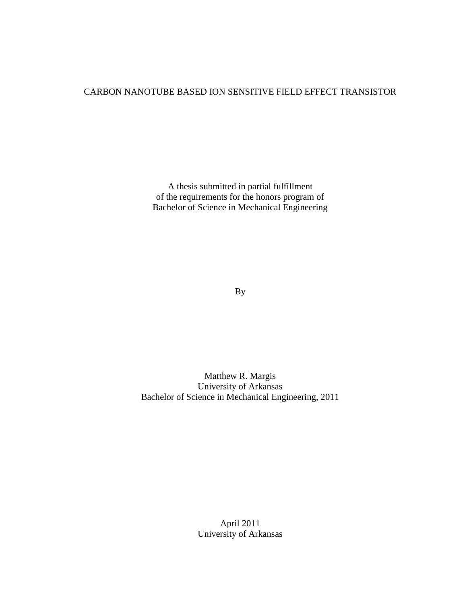## CARBON NANOTUBE BASED ION SENSITIVE FIELD EFFECT TRANSISTOR

A thesis submitted in partial fulfillment of the requirements for the honors program of Bachelor of Science in Mechanical Engineering

By

Matthew R. Margis University of Arkansas Bachelor of Science in Mechanical Engineering, 2011

> April 2011 University of Arkansas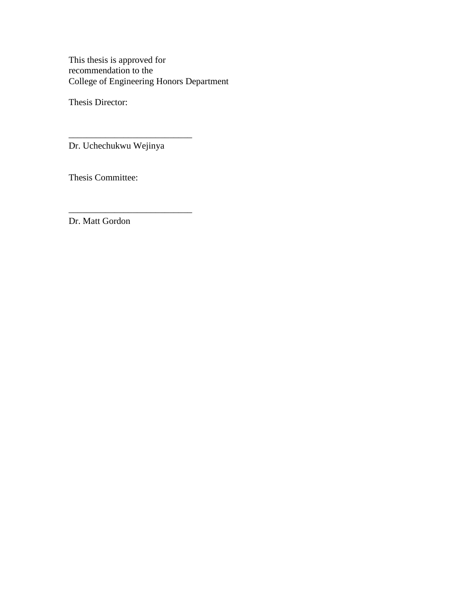This thesis is approved for recommendation to the College of Engineering Honors Department

Thesis Director:

Dr. Uchechukwu Wejinya

\_\_\_\_\_\_\_\_\_\_\_\_\_\_\_\_\_\_\_\_\_\_\_\_\_\_\_

\_\_\_\_\_\_\_\_\_\_\_\_\_\_\_\_\_\_\_\_\_\_\_\_\_\_\_

Thesis Committee:

Dr. Matt Gordon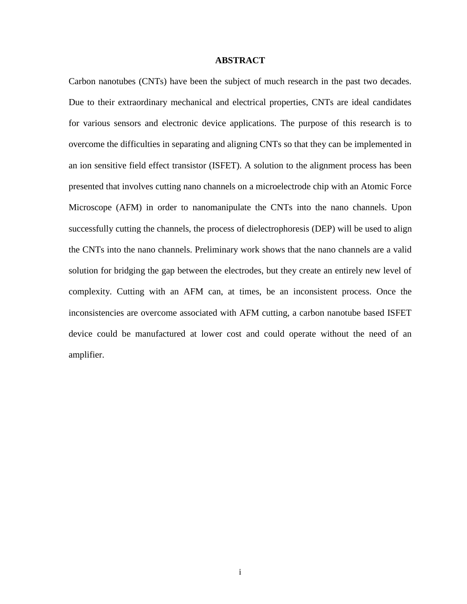#### **ABSTRACT**

Carbon nanotubes (CNTs) have been the subject of much research in the past two decades. Due to their extraordinary mechanical and electrical properties, CNTs are ideal candidates for various sensors and electronic device applications. The purpose of this research is to overcome the difficulties in separating and aligning CNTs so that they can be implemented in an ion sensitive field effect transistor (ISFET). A solution to the alignment process has been presented that involves cutting nano channels on a microelectrode chip with an Atomic Force Microscope (AFM) in order to nanomanipulate the CNTs into the nano channels. Upon successfully cutting the channels, the process of dielectrophoresis (DEP) will be used to align the CNTs into the nano channels. Preliminary work shows that the nano channels are a valid solution for bridging the gap between the electrodes, but they create an entirely new level of complexity. Cutting with an AFM can, at times, be an inconsistent process. Once the inconsistencies are overcome associated with AFM cutting, a carbon nanotube based ISFET device could be manufactured at lower cost and could operate without the need of an amplifier.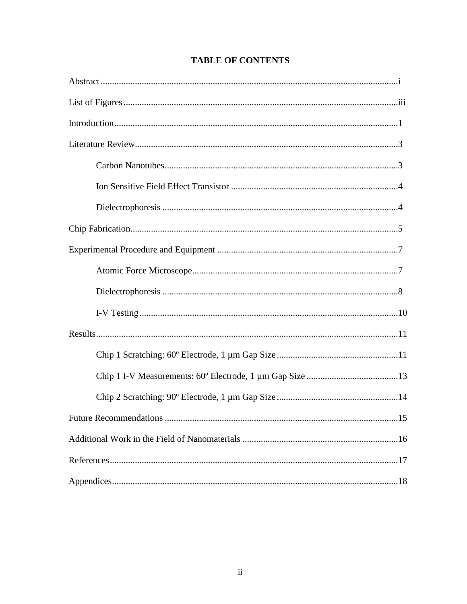## **TABLE OF CONTENTS**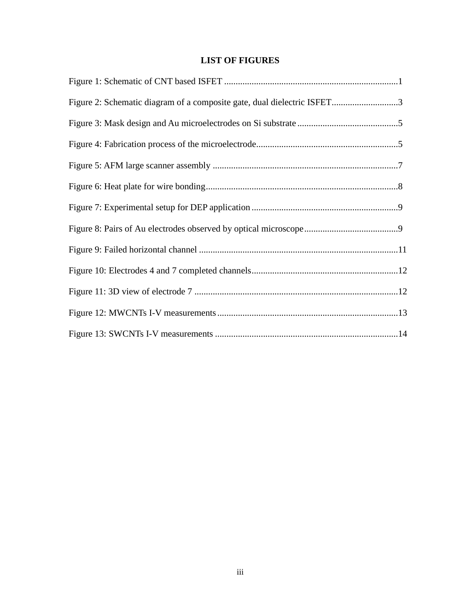## **LIST OF FIGURES**

| Figure 2: Schematic diagram of a composite gate, dual dielectric ISFET3 |  |
|-------------------------------------------------------------------------|--|
|                                                                         |  |
|                                                                         |  |
|                                                                         |  |
|                                                                         |  |
|                                                                         |  |
|                                                                         |  |
|                                                                         |  |
|                                                                         |  |
|                                                                         |  |
|                                                                         |  |
|                                                                         |  |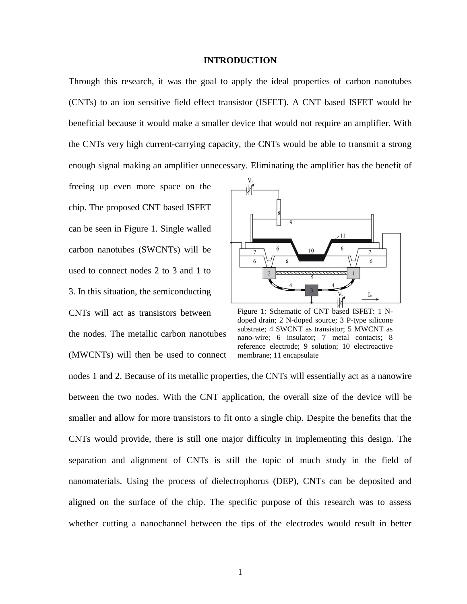#### **INTRODUCTION**

Through this research, it was the goal to apply the ideal properties of carbon nanotubes (CNTs) to an ion sensitive field effect transistor (ISFET). A CNT based ISFET would be beneficial because it would make a smaller device that would not require an amplifier. With the CNTs very high current-carrying capacity, the CNTs would be able to transmit a strong enough signal making an amplifier unnecessary. Eliminating the amplifier has the benefit of

freeing up even more space on the chip. The proposed CNT based ISFET can be seen in Figure 1. Single walled carbon nanotubes (SWCNTs) will be used to connect nodes 2 to 3 and 1 to 3. In this situation, the semiconducting CNTs will act as transistors between the nodes. The metallic carbon nanotubes (MWCNTs) will then be used to connect



Figure 1: Schematic of CNT based ISFET: 1 Ndoped drain; 2 N-doped source; 3 P-type silicone substrate; 4 SWCNT as transistor; 5 MWCNT as nano-wire; 6 insulator; 7 metal contacts; 8 reference electrode; 9 solution; 10 electroactive membrane; 11 encapsulate

nodes 1 and 2. Because of its metallic properties, the CNTs will essentially act as a nanowire between the two nodes. With the CNT application, the overall size of the device will be smaller and allow for more transistors to fit onto a single chip. Despite the benefits that the CNTs would provide, there is still one major difficulty in implementing this design. The separation and alignment of CNTs is still the topic of much study in the field of nanomaterials. Using the process of dielectrophorus (DEP), CNTs can be deposited and aligned on the surface of the chip. The specific purpose of this research was to assess whether cutting a nanochannel between the tips of the electrodes would result in better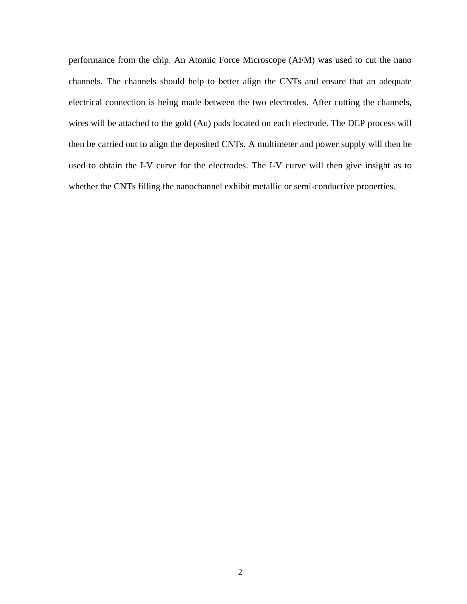performance from the chip. An Atomic Force Microscope (AFM) was used to cut the nano channels. The channels should help to better align the CNTs and ensure that an adequate electrical connection is being made between the two electrodes. After cutting the channels, wires will be attached to the gold (Au) pads located on each electrode. The DEP process will then be carried out to align the deposited CNTs. A multimeter and power supply will then be used to obtain the I-V curve for the electrodes. The I-V curve will then give insight as to whether the CNTs filling the nanochannel exhibit metallic or semi-conductive properties.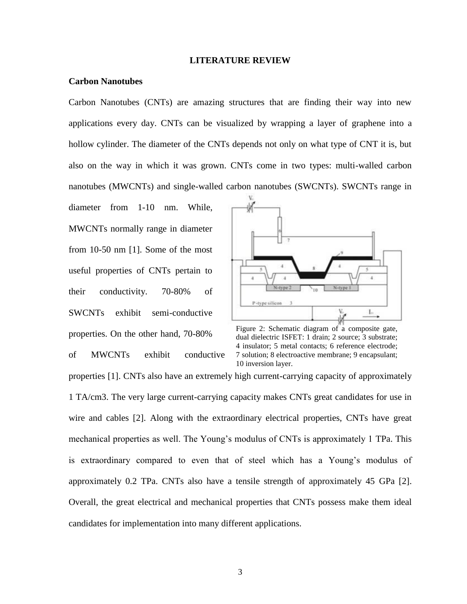#### **LITERATURE REVIEW**

#### **Carbon Nanotubes**

Carbon Nanotubes (CNTs) are amazing structures that are finding their way into new applications every day. CNTs can be visualized by wrapping a layer of graphene into a hollow cylinder. The diameter of the CNTs depends not only on what type of CNT it is, but also on the way in which it was grown. CNTs come in two types: multi-walled carbon nanotubes (MWCNTs) and single-walled carbon nanotubes (SWCNTs). SWCNTs range in

diameter from 1-10 nm. While, MWCNTs normally range in diameter from 10-50 nm [1]. Some of the most useful properties of CNTs pertain to their conductivity. 70-80% of SWCNTs exhibit semi-conductive properties. On the other hand, 70-80%

of MWCNTs exhibit conductive



Figure 2: Schematic diagram of a composite gate, dual dielectric ISFET: 1 drain; 2 source; 3 substrate; 4 insulator; 5 metal contacts; 6 reference electrode; 7 solution; 8 electroactive membrane; 9 encapsulant; 10 inversion layer.

properties [1]. CNTs also have an extremely high current-carrying capacity of approximately 1 TA/cm3. The very large current-carrying capacity makes CNTs great candidates for use in wire and cables [2]. Along with the extraordinary electrical properties, CNTs have great mechanical properties as well. The Young's modulus of CNTs is approximately 1 TPa. This is extraordinary compared to even that of steel which has a Young's modulus of approximately 0.2 TPa. CNTs also have a tensile strength of approximately 45 GPa [2]. Overall, the great electrical and mechanical properties that CNTs possess make them ideal candidates for implementation into many different applications.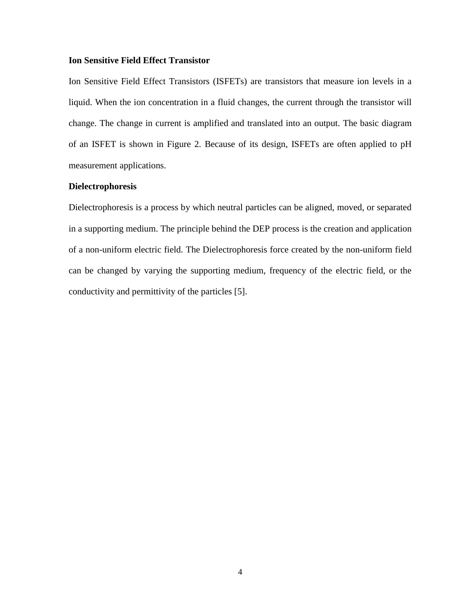### **Ion Sensitive Field Effect Transistor**

Ion Sensitive Field Effect Transistors (ISFETs) are transistors that measure ion levels in a liquid. When the ion concentration in a fluid changes, the current through the transistor will change. The change in current is amplified and translated into an output. The basic diagram of an ISFET is shown in Figure 2. Because of its design, ISFETs are often applied to pH measurement applications.

### **Dielectrophoresis**

Dielectrophoresis is a process by which neutral particles can be aligned, moved, or separated in a supporting medium. The principle behind the DEP process is the creation and application of a non-uniform electric field. The Dielectrophoresis force created by the non-uniform field can be changed by varying the supporting medium, frequency of the electric field, or the conductivity and permittivity of the particles [5].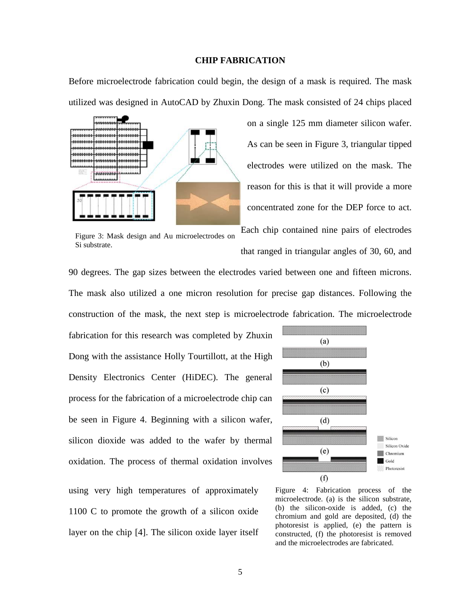#### **CHIP FABRICATION**

Before microelectrode fabrication could begin, the design of a mask is required. The mask utilized was designed in AutoCAD by Zhuxin Dong. The mask consisted of 24 chips placed



Figure 3: Mask design and Au microelectrodes on Si substrate.

As can be seen in Figure 3, triangular tipped electrodes were utilized on the mask. The reason for this is that it will provide a more concentrated zone for the DEP force to act.

on a single 125 mm diameter silicon wafer.

Each chip contained nine pairs of electrodes that ranged in triangular angles of 30, 60, and

90 degrees. The gap sizes between the electrodes varied between one and fifteen microns. The mask also utilized a one micron resolution for precise gap distances. Following the construction of the mask, the next step is microelectrode fabrication. The microelectrode

fabrication for this research was completed by Zhuxin Dong with the assistance Holly Tourtillott, at the High Density Electronics Center (HiDEC). The general process for the fabrication of a microelectrode chip can be seen in Figure 4. Beginning with a silicon wafer, silicon dioxide was added to the wafer by thermal oxidation. The process of thermal oxidation involves

using very high temperatures of approximately 1100 C to promote the growth of a silicon oxide layer on the chip [4]. The silicon oxide layer itself



Figure 4: Fabrication process of the microelectrode. (a) is the silicon substrate, (b) the silicon-oxide is added, (c) the chromium and gold are deposited, (d) the photoresist is applied, (e) the pattern is constructed, (f) the photoresist is removed and the microelectrodes are fabricated.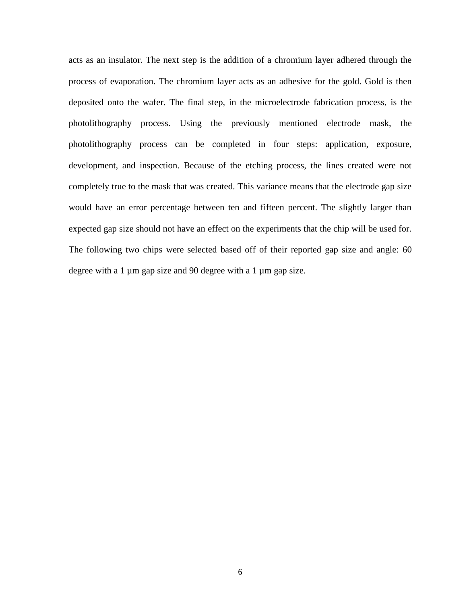acts as an insulator. The next step is the addition of a chromium layer adhered through the process of evaporation. The chromium layer acts as an adhesive for the gold. Gold is then deposited onto the wafer. The final step, in the microelectrode fabrication process, is the photolithography process. Using the previously mentioned electrode mask, the photolithography process can be completed in four steps: application, exposure, development, and inspection. Because of the etching process, the lines created were not completely true to the mask that was created. This variance means that the electrode gap size would have an error percentage between ten and fifteen percent. The slightly larger than expected gap size should not have an effect on the experiments that the chip will be used for. The following two chips were selected based off of their reported gap size and angle: 60 degree with a 1 µm gap size and 90 degree with a 1 µm gap size.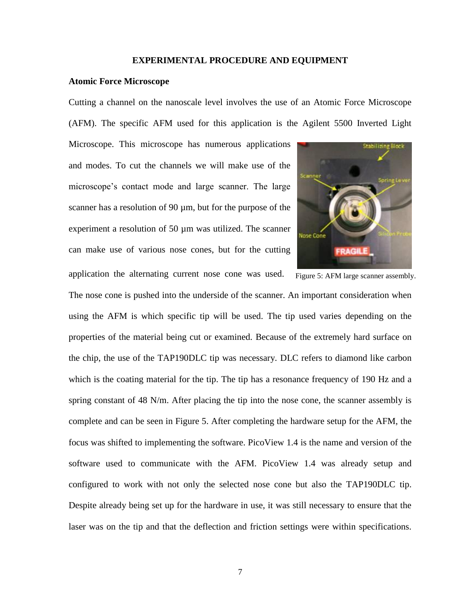#### **EXPERIMENTAL PROCEDURE AND EQUIPMENT**

#### **Atomic Force Microscope**

Cutting a channel on the nanoscale level involves the use of an Atomic Force Microscope (AFM). The specific AFM used for this application is the Agilent 5500 Inverted Light

Microscope. This microscope has numerous applications and modes. To cut the channels we will make use of the microscope's contact mode and large scanner. The large scanner has a resolution of 90  $\mu$ m, but for the purpose of the experiment a resolution of 50 µm was utilized. The scanner can make use of various nose cones, but for the cutting application the alternating current nose cone was used.



Figure 5: AFM large scanner assembly.

The nose cone is pushed into the underside of the scanner. An important consideration when using the AFM is which specific tip will be used. The tip used varies depending on the properties of the material being cut or examined. Because of the extremely hard surface on the chip, the use of the TAP190DLC tip was necessary. DLC refers to diamond like carbon which is the coating material for the tip. The tip has a resonance frequency of 190 Hz and a spring constant of 48 N/m. After placing the tip into the nose cone, the scanner assembly is complete and can be seen in Figure 5. After completing the hardware setup for the AFM, the focus was shifted to implementing the software. PicoView 1.4 is the name and version of the software used to communicate with the AFM. PicoView 1.4 was already setup and configured to work with not only the selected nose cone but also the TAP190DLC tip. Despite already being set up for the hardware in use, it was still necessary to ensure that the laser was on the tip and that the deflection and friction settings were within specifications.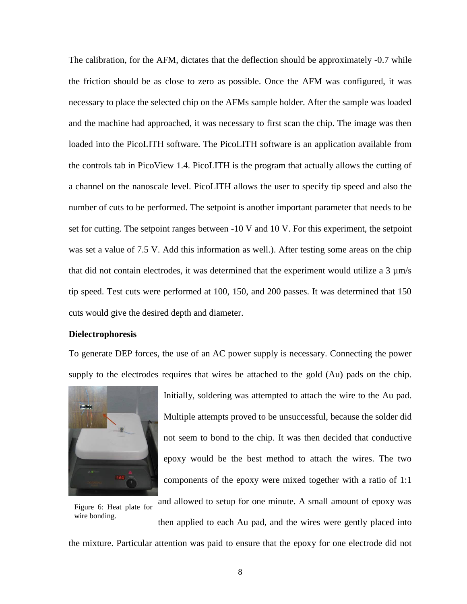The calibration, for the AFM, dictates that the deflection should be approximately -0.7 while the friction should be as close to zero as possible. Once the AFM was configured, it was necessary to place the selected chip on the AFMs sample holder. After the sample was loaded and the machine had approached, it was necessary to first scan the chip. The image was then loaded into the PicoLITH software. The PicoLITH software is an application available from the controls tab in PicoView 1.4. PicoLITH is the program that actually allows the cutting of a channel on the nanoscale level. PicoLITH allows the user to specify tip speed and also the number of cuts to be performed. The setpoint is another important parameter that needs to be set for cutting. The setpoint ranges between -10 V and 10 V. For this experiment, the setpoint was set a value of 7.5 V. Add this information as well.). After testing some areas on the chip that did not contain electrodes, it was determined that the experiment would utilize a 3 µm/s tip speed. Test cuts were performed at 100, 150, and 200 passes. It was determined that 150 cuts would give the desired depth and diameter.

#### **Dielectrophoresis**

To generate DEP forces, the use of an AC power supply is necessary. Connecting the power supply to the electrodes requires that wires be attached to the gold (Au) pads on the chip.



Initially, soldering was attempted to attach the wire to the Au pad. Multiple attempts proved to be unsuccessful, because the solder did not seem to bond to the chip. It was then decided that conductive epoxy would be the best method to attach the wires. The two components of the epoxy were mixed together with a ratio of 1:1

Figure 6: Heat plate for wire bonding.

then applied to each Au pad, and the wires were gently placed into

and allowed to setup for one minute. A small amount of epoxy was

the mixture. Particular attention was paid to ensure that the epoxy for one electrode did not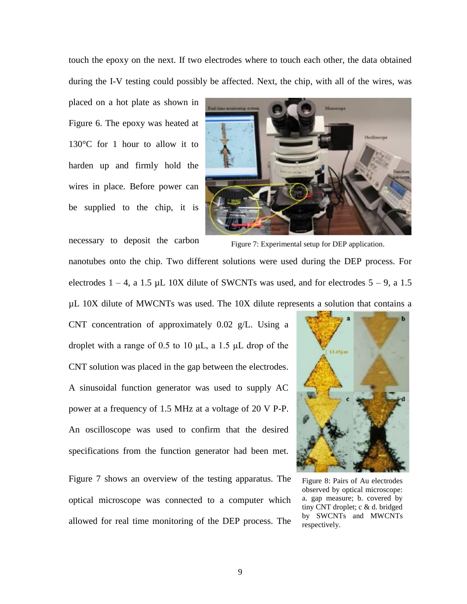touch the epoxy on the next. If two electrodes where to touch each other, the data obtained during the I-V testing could possibly be affected. Next, the chip, with all of the wires, was

placed on a hot plate as shown in Figure 6. The epoxy was heated at 130°C for 1 hour to allow it to harden up and firmly hold the wires in place. Before power can be supplied to the chip, it is



Figure 7: Experimental setup for DEP application. necessary to deposit the carbon nanotubes onto the chip. Two different solutions were used during the DEP process. For electrodes  $1 - 4$ , a 1.5 µL 10X dilute of SWCNTs was used, and for electrodes  $5 - 9$ , a 1.5 µL 10X dilute of MWCNTs was used. The 10X dilute represents a solution that contains a

CNT concentration of approximately 0.02 g/L. Using a droplet with a range of 0.5 to 10  $\mu$ L, a 1.5  $\mu$ L drop of the CNT solution was placed in the gap between the electrodes. A sinusoidal function generator was used to supply AC power at a frequency of 1.5 MHz at a voltage of 20 V P-P. An oscilloscope was used to confirm that the desired specifications from the function generator had been met.

Figure 7 shows an overview of the testing apparatus. The optical microscope was connected to a computer which allowed for real time monitoring of the DEP process. The



Figure 8: Pairs of Au electrodes observed by optical microscope: a. gap measure; b. covered by tiny CNT droplet; c & d. bridged by SWCNTs and MWCNTs respectively.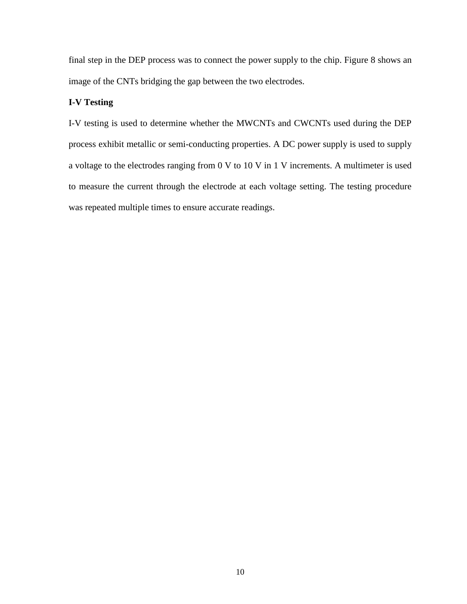final step in the DEP process was to connect the power supply to the chip. Figure 8 shows an image of the CNTs bridging the gap between the two electrodes.

## **I-V Testing**

I-V testing is used to determine whether the MWCNTs and CWCNTs used during the DEP process exhibit metallic or semi-conducting properties. A DC power supply is used to supply a voltage to the electrodes ranging from 0 V to 10 V in 1 V increments. A multimeter is used to measure the current through the electrode at each voltage setting. The testing procedure was repeated multiple times to ensure accurate readings.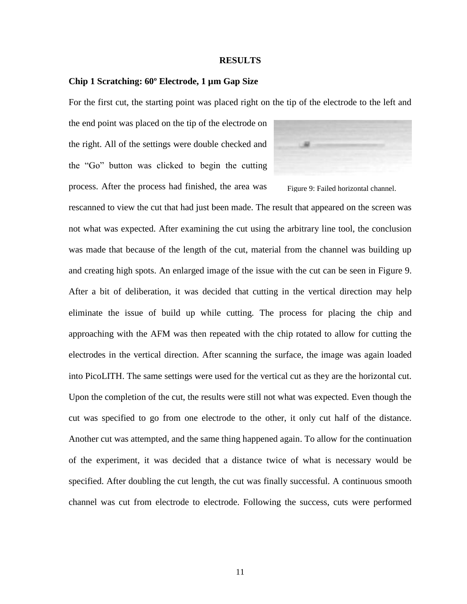#### **RESULTS**

#### **Chip 1 Scratching: 60º Electrode, 1 µm Gap Size**

For the first cut, the starting point was placed right on the tip of the electrode to the left and

the end point was placed on the tip of the electrode on the right. All of the settings were double checked and the "Go" button was clicked to begin the cutting process. After the process had finished, the area was



Figure 9: Failed horizontal channel.

rescanned to view the cut that had just been made. The result that appeared on the screen was not what was expected. After examining the cut using the arbitrary line tool, the conclusion was made that because of the length of the cut, material from the channel was building up and creating high spots. An enlarged image of the issue with the cut can be seen in Figure 9. After a bit of deliberation, it was decided that cutting in the vertical direction may help eliminate the issue of build up while cutting. The process for placing the chip and approaching with the AFM was then repeated with the chip rotated to allow for cutting the electrodes in the vertical direction. After scanning the surface, the image was again loaded into PicoLITH. The same settings were used for the vertical cut as they are the horizontal cut. Upon the completion of the cut, the results were still not what was expected. Even though the cut was specified to go from one electrode to the other, it only cut half of the distance. Another cut was attempted, and the same thing happened again. To allow for the continuation of the experiment, it was decided that a distance twice of what is necessary would be specified. After doubling the cut length, the cut was finally successful. A continuous smooth channel was cut from electrode to electrode. Following the success, cuts were performed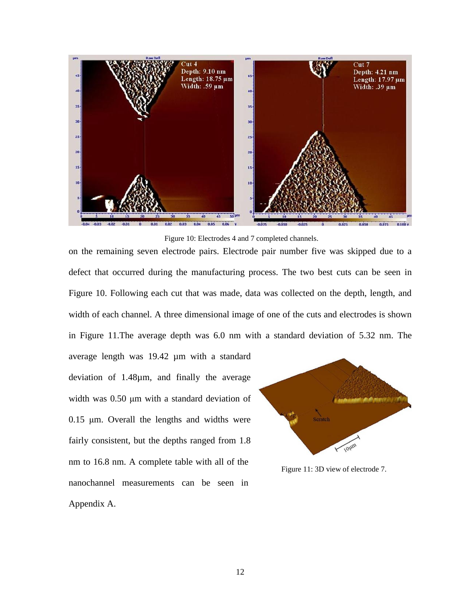

Figure 10: Electrodes 4 and 7 completed channels.

on the remaining seven electrode pairs. Electrode pair number five was skipped due to a defect that occurred during the manufacturing process. The two best cuts can be seen in Figure 10. Following each cut that was made, data was collected on the depth, length, and width of each channel. A three dimensional image of one of the cuts and electrodes is shown in Figure 11.The average depth was 6.0 nm with a standard deviation of 5.32 nm. The

average length was 19.42 µm with a standard deviation of 1.48µm, and finally the average width was 0.50 μm with a standard deviation of 0.15 μm. Overall the lengths and widths were fairly consistent, but the depths ranged from 1.8 nm to 16.8 nm. A complete table with all of the nanochannel measurements can be seen in Appendix A.



Figure 11: 3D view of electrode 7.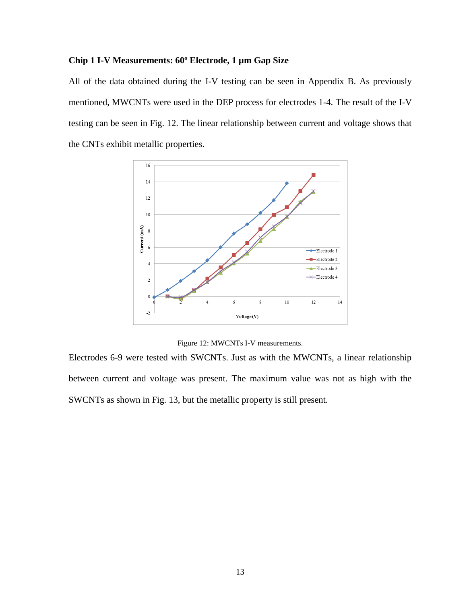### **Chip 1 I-V Measurements: 60º Electrode, 1 µm Gap Size**

All of the data obtained during the I-V testing can be seen in Appendix B. As previously mentioned, MWCNTs were used in the DEP process for electrodes 1-4. The result of the I-V testing can be seen in Fig. 12. The linear relationship between current and voltage shows that the CNTs exhibit metallic properties.



Figure 12: MWCNTs I-V measurements.

Electrodes 6-9 were tested with SWCNTs. Just as with the MWCNTs, a linear relationship between current and voltage was present. The maximum value was not as high with the SWCNTs as shown in Fig. 13, but the metallic property is still present.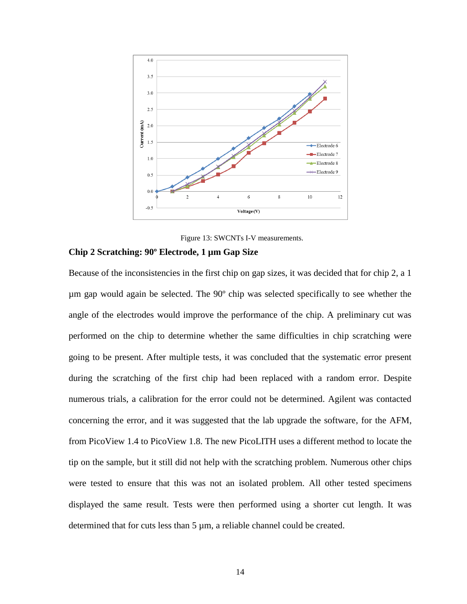

Figure 13: SWCNTs I-V measurements.

## **Chip 2 Scratching: 90º Electrode, 1 µm Gap Size**

Because of the inconsistencies in the first chip on gap sizes, it was decided that for chip 2, a 1 µm gap would again be selected. The 90º chip was selected specifically to see whether the angle of the electrodes would improve the performance of the chip. A preliminary cut was performed on the chip to determine whether the same difficulties in chip scratching were going to be present. After multiple tests, it was concluded that the systematic error present during the scratching of the first chip had been replaced with a random error. Despite numerous trials, a calibration for the error could not be determined. Agilent was contacted concerning the error, and it was suggested that the lab upgrade the software, for the AFM, from PicoView 1.4 to PicoView 1.8. The new PicoLITH uses a different method to locate the tip on the sample, but it still did not help with the scratching problem. Numerous other chips were tested to ensure that this was not an isolated problem. All other tested specimens displayed the same result. Tests were then performed using a shorter cut length. It was determined that for cuts less than 5  $\mu$ m, a reliable channel could be created.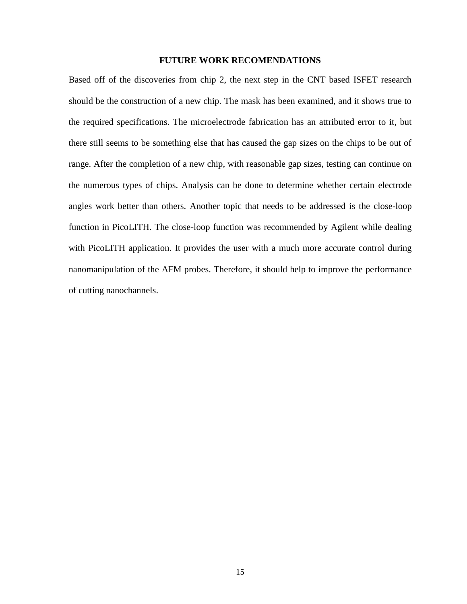### **FUTURE WORK RECOMENDATIONS**

Based off of the discoveries from chip 2, the next step in the CNT based ISFET research should be the construction of a new chip. The mask has been examined, and it shows true to the required specifications. The microelectrode fabrication has an attributed error to it, but there still seems to be something else that has caused the gap sizes on the chips to be out of range. After the completion of a new chip, with reasonable gap sizes, testing can continue on the numerous types of chips. Analysis can be done to determine whether certain electrode angles work better than others. Another topic that needs to be addressed is the close-loop function in PicoLITH. The close-loop function was recommended by Agilent while dealing with PicoLITH application. It provides the user with a much more accurate control during nanomanipulation of the AFM probes. Therefore, it should help to improve the performance of cutting nanochannels.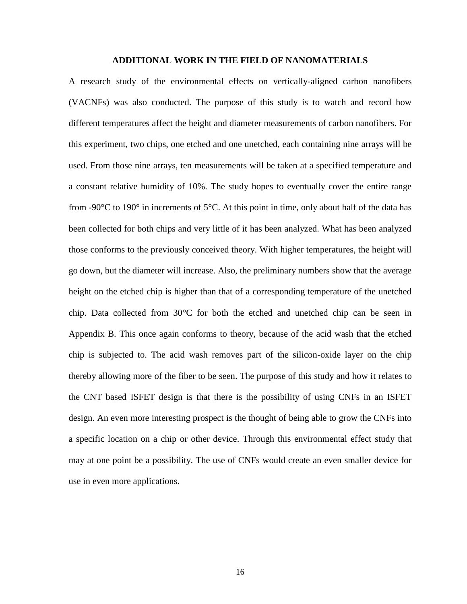#### **ADDITIONAL WORK IN THE FIELD OF NANOMATERIALS**

A research study of the environmental effects on vertically-aligned carbon nanofibers (VACNFs) was also conducted. The purpose of this study is to watch and record how different temperatures affect the height and diameter measurements of carbon nanofibers. For this experiment, two chips, one etched and one unetched, each containing nine arrays will be used. From those nine arrays, ten measurements will be taken at a specified temperature and a constant relative humidity of 10%. The study hopes to eventually cover the entire range from -90 $\degree$ C to 190 $\degree$  in increments of 5 $\degree$ C. At this point in time, only about half of the data has been collected for both chips and very little of it has been analyzed. What has been analyzed those conforms to the previously conceived theory. With higher temperatures, the height will go down, but the diameter will increase. Also, the preliminary numbers show that the average height on the etched chip is higher than that of a corresponding temperature of the unetched chip. Data collected from 30°C for both the etched and unetched chip can be seen in Appendix B. This once again conforms to theory, because of the acid wash that the etched chip is subjected to. The acid wash removes part of the silicon-oxide layer on the chip thereby allowing more of the fiber to be seen. The purpose of this study and how it relates to the CNT based ISFET design is that there is the possibility of using CNFs in an ISFET design. An even more interesting prospect is the thought of being able to grow the CNFs into a specific location on a chip or other device. Through this environmental effect study that may at one point be a possibility. The use of CNFs would create an even smaller device for use in even more applications.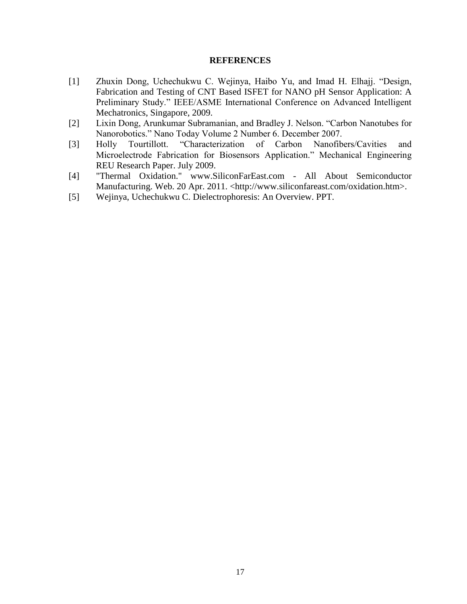#### **REFERENCES**

- [1] Zhuxin Dong, Uchechukwu C. Wejinya, Haibo Yu, and Imad H. Elhajj. "Design, Fabrication and Testing of CNT Based ISFET for NANO pH Sensor Application: A Preliminary Study." IEEE/ASME International Conference on Advanced Intelligent Mechatronics, Singapore, 2009.
- [2] Lixin Dong, Arunkumar Subramanian, and Bradley J. Nelson. "Carbon Nanotubes for Nanorobotics." Nano Today Volume 2 Number 6. December 2007.
- [3] Holly Tourtillott. "Characterization of Carbon Nanofibers/Cavities and Microelectrode Fabrication for Biosensors Application." Mechanical Engineering REU Research Paper. July 2009.
- [4] "Thermal Oxidation." www.SiliconFarEast.com All About Semiconductor Manufacturing. Web. 20 Apr. 2011. <http://www.siliconfareast.com/oxidation.htm>.
- [5] Wejinya, Uchechukwu C. Dielectrophoresis: An Overview. PPT.